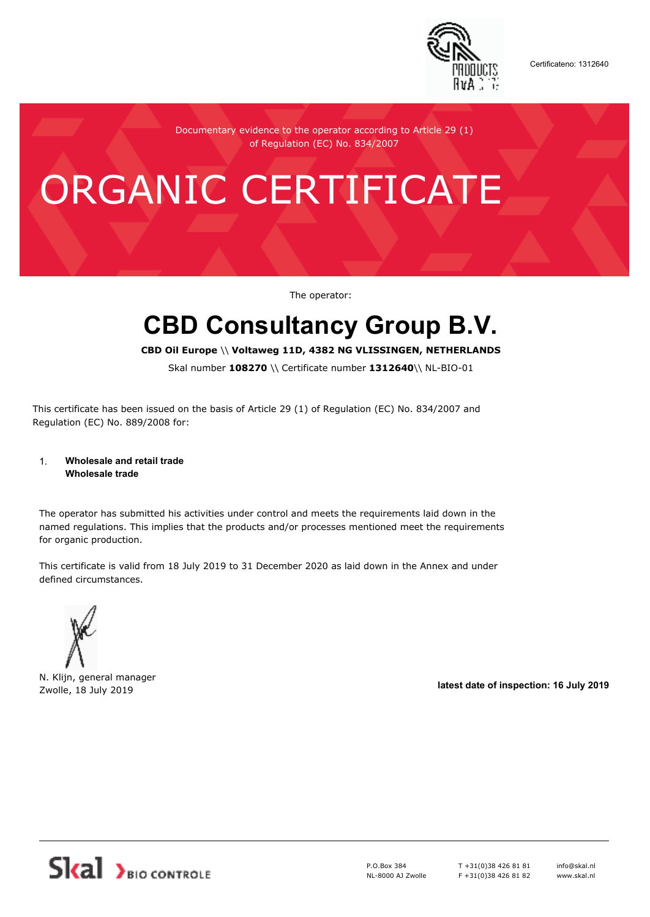

Certificateno: 1312640

Documentary evidence to the operator according to Article 29 (1) of Regulation (EC) No. 834/2007

# ORGANIC CERTIFICATE

The operator:

## **CBD Consultancy Group B.V.**

**CBD Oil Europe** \\ **Voltaweg 11D, 4382 NG VLISSINGEN, NETHERLANDS**

Skal number **108270** \\ Certificate number **1312640**\\ NL-BIO-01

This certificate has been issued on the basis of Article 29 (1) of Regulation (EC) No. 834/2007 and Regulation (EC) No. 889/2008 for:

#### 1. **Wholesale and retail trade Wholesale trade**

The operator has submitted his activities under control and meets the requirements laid down in the named regulations. This implies that the products and/or processes mentioned meet the requirements for organic production.

This certificate is valid from 18 July 2019 to 31 December 2020 as laid down in the Annex and under defined circumstances.



N. Klijn, general manager

Zwolle, 18 July 2019 **latest date of inspection: 16 July 2019**



P.O.Box 384 NL-8000 AJ Zwolle T +31(0)38 426 81 81 F +31(0)38 426 81 82